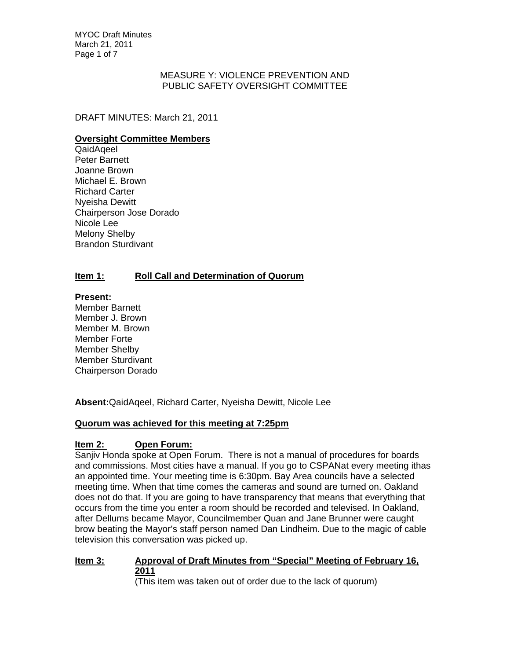MYOC Draft Minutes March 21, 2011 Page 1 of 7

## MEASURE Y: VIOLENCE PREVENTION AND PUBLIC SAFETY OVERSIGHT COMMITTEE

DRAFT MINUTES: March 21, 2011

## **Oversight Committee Members**

QaidAqeel Peter Barnett Joanne Brown Michael E. Brown Richard Carter Nyeisha Dewitt Chairperson Jose Dorado Nicole Lee Melony Shelby Brandon Sturdivant

# **Item 1: Roll Call and Determination of Quorum**

## **Present:**

Member Barnett Member J. Brown Member M. Brown Member Forte Member Shelby Member Sturdivant Chairperson Dorado

**Absent:**QaidAqeel, Richard Carter, Nyeisha Dewitt, Nicole Lee

# **Quorum was achieved for this meeting at 7:25pm**

# **Item 2: Open Forum:**

Sanjiv Honda spoke at Open Forum. There is not a manual of procedures for boards and commissions. Most cities have a manual. If you go to CSPANat every meeting ithas an appointed time. Your meeting time is 6:30pm. Bay Area councils have a selected meeting time. When that time comes the cameras and sound are turned on. Oakland does not do that. If you are going to have transparency that means that everything that occurs from the time you enter a room should be recorded and televised. In Oakland, after Dellums became Mayor, Councilmember Quan and Jane Brunner were caught brow beating the Mayor's staff person named Dan Lindheim. Due to the magic of cable television this conversation was picked up.

# **Item 3: Approval of Draft Minutes from "Special" Meeting of February 16, 2011**

(This item was taken out of order due to the lack of quorum)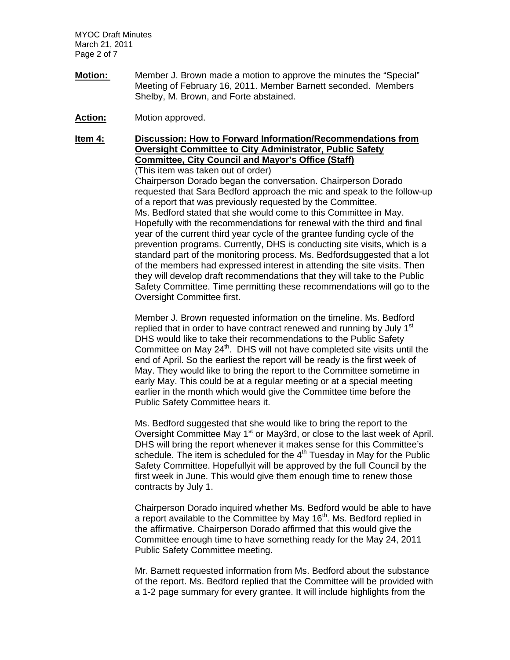MYOC Draft Minutes March 21, 2011 Page 2 of 7

- **Motion:** Member J. Brown made a motion to approve the minutes the "Special" Meeting of February 16, 2011. Member Barnett seconded. Members Shelby, M. Brown, and Forte abstained.
- **Action:** Motion approved.

**Item 4: Discussion: How to Forward Information/Recommendations from Oversight Committee to City Administrator, Public Safety Committee, City Council and Mayor's Office (Staff)**

(This item was taken out of order)

Chairperson Dorado began the conversation. Chairperson Dorado requested that Sara Bedford approach the mic and speak to the follow-up of a report that was previously requested by the Committee. Ms. Bedford stated that she would come to this Committee in May. Hopefully with the recommendations for renewal with the third and final year of the current third year cycle of the grantee funding cycle of the prevention programs. Currently, DHS is conducting site visits, which is a standard part of the monitoring process. Ms. Bedfordsuggested that a lot of the members had expressed interest in attending the site visits. Then they will develop draft recommendations that they will take to the Public Safety Committee. Time permitting these recommendations will go to the Oversight Committee first.

Member J. Brown requested information on the timeline. Ms. Bedford replied that in order to have contract renewed and running by July 1<sup>st</sup> DHS would like to take their recommendations to the Public Safety Committee on May  $24<sup>th</sup>$ . DHS will not have completed site visits until the end of April. So the earliest the report will be ready is the first week of May. They would like to bring the report to the Committee sometime in early May. This could be at a regular meeting or at a special meeting earlier in the month which would give the Committee time before the Public Safety Committee hears it.

Ms. Bedford suggested that she would like to bring the report to the Oversight Committee May 1<sup>st</sup> or May3rd, or close to the last week of April. DHS will bring the report whenever it makes sense for this Committee's schedule. The item is scheduled for the  $4<sup>th</sup>$  Tuesday in May for the Public Safety Committee. Hopefullyit will be approved by the full Council by the first week in June. This would give them enough time to renew those contracts by July 1.

Chairperson Dorado inquired whether Ms. Bedford would be able to have a report available to the Committee by May 16<sup>th</sup>. Ms. Bedford replied in the affirmative. Chairperson Dorado affirmed that this would give the Committee enough time to have something ready for the May 24, 2011 Public Safety Committee meeting.

Mr. Barnett requested information from Ms. Bedford about the substance of the report. Ms. Bedford replied that the Committee will be provided with a 1-2 page summary for every grantee. It will include highlights from the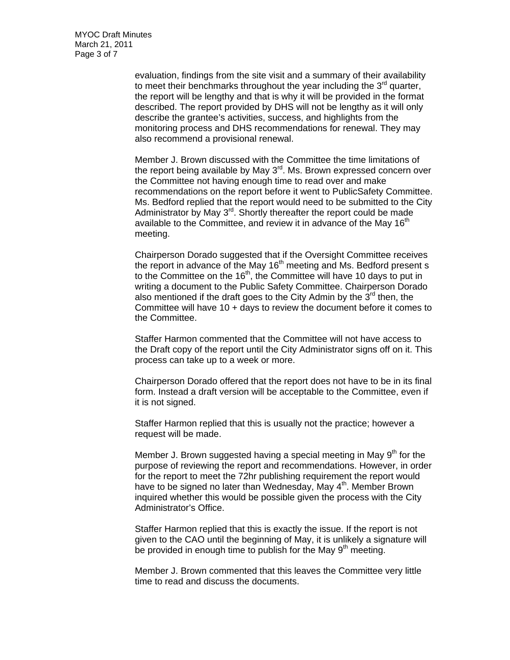MYOC Draft Minutes March 21, 2011 Page 3 of 7

> evaluation, findings from the site visit and a summary of their availability to meet their benchmarks throughout the year including the  $3<sup>rd</sup>$  quarter, the report will be lengthy and that is why it will be provided in the format described. The report provided by DHS will not be lengthy as it will only describe the grantee's activities, success, and highlights from the monitoring process and DHS recommendations for renewal. They may also recommend a provisional renewal.

Member J. Brown discussed with the Committee the time limitations of the report being available by May  $3<sup>rd</sup>$ . Ms. Brown expressed concern over the Committee not having enough time to read over and make recommendations on the report before it went to PublicSafety Committee. Ms. Bedford replied that the report would need to be submitted to the City Administrator by May  $3<sup>rd</sup>$ . Shortly thereafter the report could be made available to the Committee, and review it in advance of the May  $16<sup>th</sup>$ meeting.

Chairperson Dorado suggested that if the Oversight Committee receives the report in advance of the May  $16<sup>th</sup>$  meeting and Ms. Bedford present s to the Committee on the 16<sup>th</sup>, the Committee will have 10 days to put in writing a document to the Public Safety Committee. Chairperson Dorado also mentioned if the draft goes to the City Admin by the  $3^{rd}$  then, the Committee will have 10 + days to review the document before it comes to the Committee.

Staffer Harmon commented that the Committee will not have access to the Draft copy of the report until the City Administrator signs off on it. This process can take up to a week or more.

Chairperson Dorado offered that the report does not have to be in its final form. Instead a draft version will be acceptable to the Committee, even if it is not signed.

Staffer Harmon replied that this is usually not the practice; however a request will be made.

Member J. Brown suggested having a special meeting in May  $9<sup>th</sup>$  for the purpose of reviewing the report and recommendations. However, in order for the report to meet the 72hr publishing requirement the report would have to be signed no later than Wednesday, May  $4<sup>th</sup>$ . Member Brown inquired whether this would be possible given the process with the City Administrator's Office.

Staffer Harmon replied that this is exactly the issue. If the report is not given to the CAO until the beginning of May, it is unlikely a signature will be provided in enough time to publish for the May  $9<sup>th</sup>$  meeting.

Member J. Brown commented that this leaves the Committee very little time to read and discuss the documents.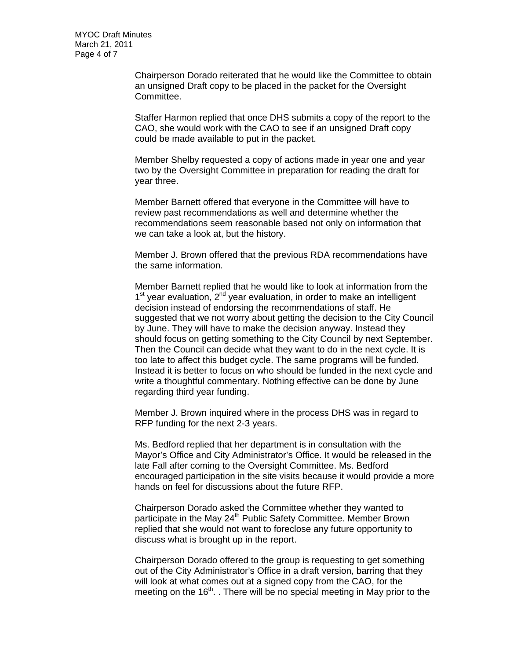MYOC Draft Minutes March 21, 2011 Page 4 of 7

> Chairperson Dorado reiterated that he would like the Committee to obtain an unsigned Draft copy to be placed in the packet for the Oversight Committee.

> Staffer Harmon replied that once DHS submits a copy of the report to the CAO, she would work with the CAO to see if an unsigned Draft copy could be made available to put in the packet.

Member Shelby requested a copy of actions made in year one and year two by the Oversight Committee in preparation for reading the draft for year three.

Member Barnett offered that everyone in the Committee will have to review past recommendations as well and determine whether the recommendations seem reasonable based not only on information that we can take a look at, but the history.

Member J. Brown offered that the previous RDA recommendations have the same information.

Member Barnett replied that he would like to look at information from the  $1<sup>st</sup>$  year evaluation,  $2<sup>nd</sup>$  year evaluation, in order to make an intelligent decision instead of endorsing the recommendations of staff. He suggested that we not worry about getting the decision to the City Council by June. They will have to make the decision anyway. Instead they should focus on getting something to the City Council by next September. Then the Council can decide what they want to do in the next cycle. It is too late to affect this budget cycle. The same programs will be funded. Instead it is better to focus on who should be funded in the next cycle and write a thoughtful commentary. Nothing effective can be done by June regarding third year funding.

Member J. Brown inquired where in the process DHS was in regard to RFP funding for the next 2-3 years.

Ms. Bedford replied that her department is in consultation with the Mayor's Office and City Administrator's Office. It would be released in the late Fall after coming to the Oversight Committee. Ms. Bedford encouraged participation in the site visits because it would provide a more hands on feel for discussions about the future RFP.

Chairperson Dorado asked the Committee whether they wanted to participate in the May 24<sup>th</sup> Public Safety Committee. Member Brown replied that she would not want to foreclose any future opportunity to discuss what is brought up in the report.

Chairperson Dorado offered to the group is requesting to get something out of the City Administrator's Office in a draft version, barring that they will look at what comes out at a signed copy from the CAO, for the meeting on the  $16<sup>th</sup>$ . There will be no special meeting in May prior to the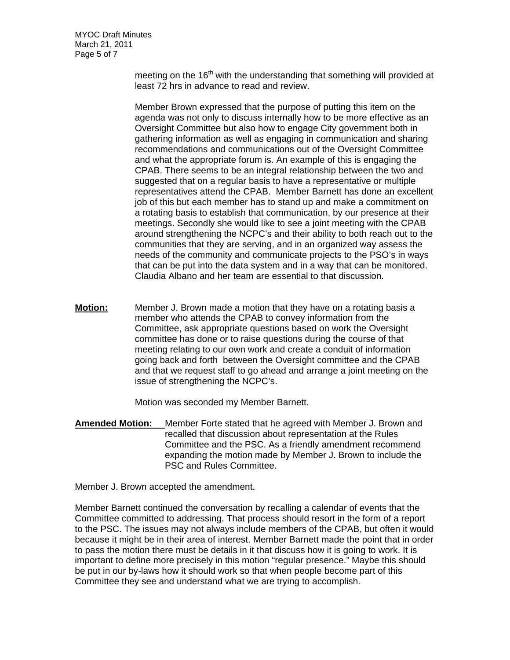MYOC Draft Minutes March 21, 2011 Page 5 of 7

> meeting on the  $16<sup>th</sup>$  with the understanding that something will provided at least 72 hrs in advance to read and review.

> Member Brown expressed that the purpose of putting this item on the agenda was not only to discuss internally how to be more effective as an Oversight Committee but also how to engage City government both in gathering information as well as engaging in communication and sharing recommendations and communications out of the Oversight Committee and what the appropriate forum is. An example of this is engaging the CPAB. There seems to be an integral relationship between the two and suggested that on a regular basis to have a representative or multiple representatives attend the CPAB. Member Barnett has done an excellent job of this but each member has to stand up and make a commitment on a rotating basis to establish that communication, by our presence at their meetings. Secondly she would like to see a joint meeting with the CPAB around strengthening the NCPC's and their ability to both reach out to the communities that they are serving, and in an organized way assess the needs of the community and communicate projects to the PSO's in ways that can be put into the data system and in a way that can be monitored. Claudia Albano and her team are essential to that discussion.

**Motion:** Member J. Brown made a motion that they have on a rotating basis a member who attends the CPAB to convey information from the Committee, ask appropriate questions based on work the Oversight committee has done or to raise questions during the course of that meeting relating to our own work and create a conduit of information going back and forth between the Oversight committee and the CPAB and that we request staff to go ahead and arrange a joint meeting on the issue of strengthening the NCPC's.

Motion was seconded my Member Barnett.

**Amended Motion:** Member Forte stated that he agreed with Member J. Brown and recalled that discussion about representation at the Rules Committee and the PSC. As a friendly amendment recommend expanding the motion made by Member J. Brown to include the PSC and Rules Committee.

Member J. Brown accepted the amendment.

Member Barnett continued the conversation by recalling a calendar of events that the Committee committed to addressing. That process should resort in the form of a report to the PSC. The issues may not always include members of the CPAB, but often it would because it might be in their area of interest. Member Barnett made the point that in order to pass the motion there must be details in it that discuss how it is going to work. It is important to define more precisely in this motion "regular presence." Maybe this should be put in our by-laws how it should work so that when people become part of this Committee they see and understand what we are trying to accomplish.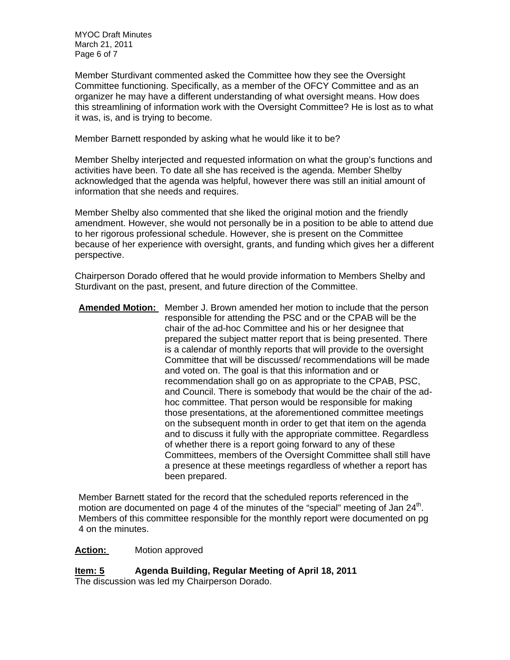MYOC Draft Minutes March 21, 2011 Page 6 of 7

Member Sturdivant commented asked the Committee how they see the Oversight Committee functioning. Specifically, as a member of the OFCY Committee and as an organizer he may have a different understanding of what oversight means. How does this streamlining of information work with the Oversight Committee? He is lost as to what it was, is, and is trying to become.

Member Barnett responded by asking what he would like it to be?

Member Shelby interjected and requested information on what the group's functions and activities have been. To date all she has received is the agenda. Member Shelby acknowledged that the agenda was helpful, however there was still an initial amount of information that she needs and requires.

Member Shelby also commented that she liked the original motion and the friendly amendment. However, she would not personally be in a position to be able to attend due to her rigorous professional schedule. However, she is present on the Committee because of her experience with oversight, grants, and funding which gives her a different perspective.

Chairperson Dorado offered that he would provide information to Members Shelby and Sturdivant on the past, present, and future direction of the Committee.

**Amended Motion:** Member J. Brown amended her motion to include that the person responsible for attending the PSC and or the CPAB will be the chair of the ad-hoc Committee and his or her designee that prepared the subject matter report that is being presented. There is a calendar of monthly reports that will provide to the oversight Committee that will be discussed/ recommendations will be made and voted on. The goal is that this information and or recommendation shall go on as appropriate to the CPAB, PSC, and Council. There is somebody that would be the chair of the adhoc committee. That person would be responsible for making those presentations, at the aforementioned committee meetings on the subsequent month in order to get that item on the agenda and to discuss it fully with the appropriate committee. Regardless of whether there is a report going forward to any of these Committees, members of the Oversight Committee shall still have a presence at these meetings regardless of whether a report has been prepared.

Member Barnett stated for the record that the scheduled reports referenced in the motion are documented on page 4 of the minutes of the "special" meeting of Jan 24<sup>th</sup>. Members of this committee responsible for the monthly report were documented on pg 4 on the minutes.

# **Action:** Motion approved

**Item: 5 Agenda Building, Regular Meeting of April 18, 2011**  The discussion was led my Chairperson Dorado.